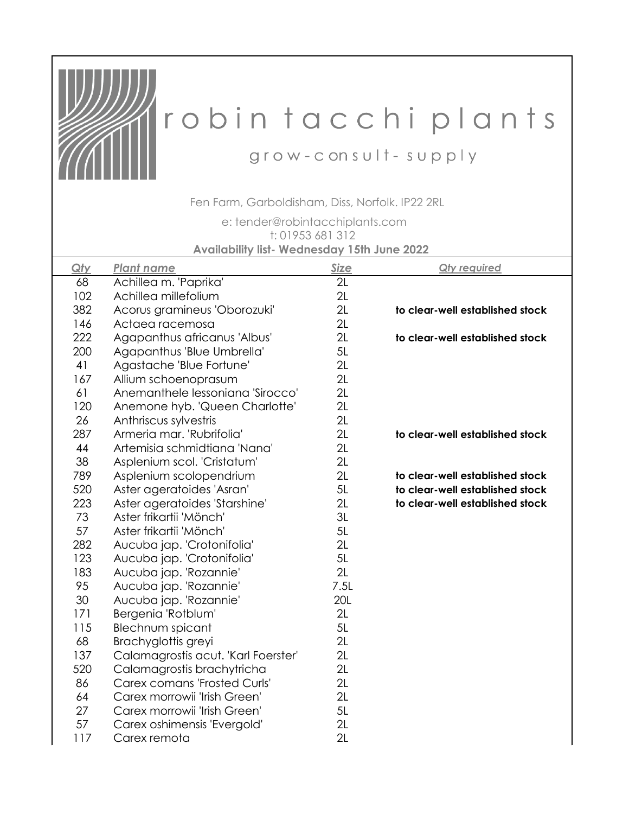

## robin tacchi plants

grow-consult-supply

Fen Farm, Garboldisham, Diss, Norfolk. IP22 2RL

 e: tender@robintacchiplants.com **Availability list- Wednesday 15th June 2022**  t: 01953 681 312

| Qty | <b>Plant name</b>                   | Size       | <b>Qty required</b>             |  |  |
|-----|-------------------------------------|------------|---------------------------------|--|--|
| 68  | Achillea m. 'Paprika'               | 2L         |                                 |  |  |
| 102 | Achillea millefolium                | 2L         |                                 |  |  |
| 382 | Acorus gramineus 'Oborozuki'        | 2L         | to clear-well established stock |  |  |
| 146 | Actaea racemosa                     | 2L         |                                 |  |  |
| 222 | Agapanthus africanus 'Albus'        | 2L         | to clear-well established stock |  |  |
| 200 | Agapanthus 'Blue Umbrella'          | 5L         |                                 |  |  |
| 41  | Agastache 'Blue Fortune'            | 2L         |                                 |  |  |
| 167 | Allium schoenoprasum                | 2L         |                                 |  |  |
| 61  | Anemanthele lessoniana 'Sirocco'    | 2L         |                                 |  |  |
| 120 | Anemone hyb. 'Queen Charlotte'      | 2L         |                                 |  |  |
| 26  | Anthriscus sylvestris               | 2L         |                                 |  |  |
| 287 | Armeria mar. 'Rubrifolia'           | 2L         | to clear-well established stock |  |  |
| 44  | Artemisia schmidtiana 'Nana'        | 2L         |                                 |  |  |
| 38  | Asplenium scol. 'Cristatum'         | 2L         |                                 |  |  |
| 789 | Asplenium scolopendrium             | 2L         | to clear-well established stock |  |  |
| 520 | Aster ageratoides 'Asran'           | 5L         | to clear-well established stock |  |  |
| 223 | Aster ageratoides 'Starshine'       | 2L         | to clear-well established stock |  |  |
| 73  | Aster frikartii 'Mönch'             | 3L         |                                 |  |  |
| 57  | Aster frikartii 'Mönch'             | 5L         |                                 |  |  |
| 282 | Aucuba jap. 'Crotonifolia'          | 2L         |                                 |  |  |
| 123 | Aucuba jap. 'Crotonifolia'          | 5L         |                                 |  |  |
| 183 | Aucuba jap. 'Rozannie'              | 2L         |                                 |  |  |
| 95  | Aucuba jap. 'Rozannie'              | 7.5L       |                                 |  |  |
| 30  | Aucuba jap. 'Rozannie'              | <b>20L</b> |                                 |  |  |
| 171 | Bergenia 'Rotblum'                  | 2L         |                                 |  |  |
| 115 | Blechnum spicant                    | 5L         |                                 |  |  |
| 68  | Brachyglottis greyi                 | 2L         |                                 |  |  |
| 137 | Calamagrostis acut. 'Karl Foerster' | 2L         |                                 |  |  |
| 520 | Calamagrostis brachytricha          | 2L         |                                 |  |  |
| 86  | <b>Carex comans 'Frosted Curls'</b> | 2L         |                                 |  |  |
| 64  | Carex morrowii 'Irish Green'        | 2L         |                                 |  |  |
| 27  | Carex morrowii 'Irish Green'        | 5L         |                                 |  |  |
| 57  | Carex oshimensis 'Evergold'         | 2L         |                                 |  |  |
| 117 | Carex remota                        | 2L         |                                 |  |  |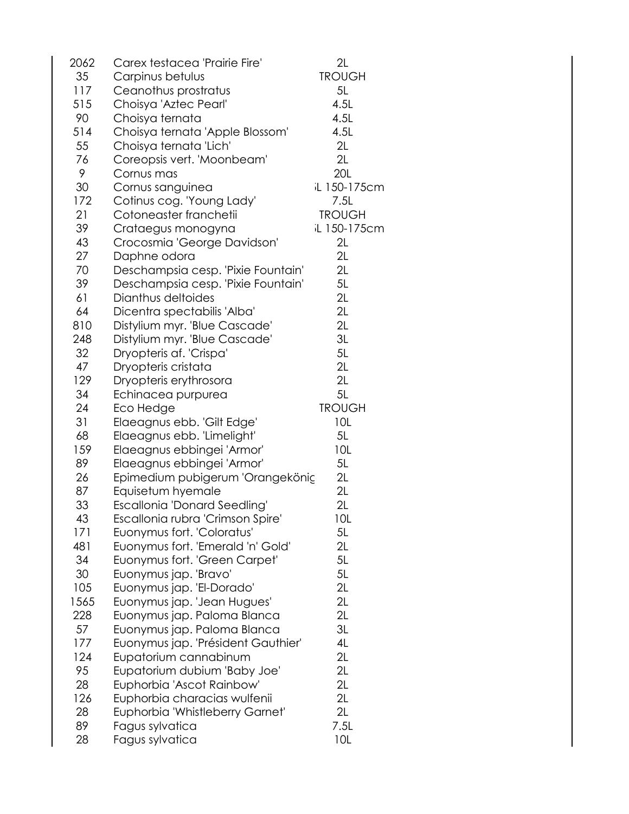| 2062 | Carex testacea 'Prairie Fire'      | 2L                  |
|------|------------------------------------|---------------------|
| 35   | Carpinus betulus                   | <b>TROUGH</b>       |
| 117  | Ceanothus prostratus               | 5L                  |
| 515  | Choisya 'Aztec Pearl'              | 4.5L                |
| 90   | Choisya ternata                    | 4.5L                |
| 514  | Choisya ternata 'Apple Blossom'    | 4.5L                |
| 55   | Choisya ternata 'Lich'             | 2L                  |
| 76   | Coreopsis vert. 'Moonbeam'         | 2L                  |
| 9    | Cornus mas                         | <b>20L</b>          |
| 30   | Cornus sanguinea                   | <b>iL 150-175cm</b> |
| 172  | Cotinus cog. 'Young Lady'          | 7.5L                |
| 21   | Cotoneaster franchetii             | <b>TROUGH</b>       |
| 39   | Crataegus monogyna                 | <b>iL 150-175cm</b> |
| 43   | Crocosmia 'George Davidson'        | 2L                  |
| 27   | Daphne odora                       | 2L                  |
| 70   | Deschampsia cesp. 'Pixie Fountain' | 2L                  |
| 39   | Deschampsia cesp. 'Pixie Fountain' | 5L                  |
| 61   | Dianthus deltoides                 | 2L                  |
| 64   | Dicentra spectabilis 'Alba'        | 2L                  |
| 810  | Distylium myr. 'Blue Cascade'      | 2L                  |
| 248  | Distylium myr. 'Blue Cascade'      | 3L                  |
| 32   | Dryopteris af. 'Crispa'            | 5L                  |
| 47   | Dryopteris cristata                | 2L                  |
| 129  | Dryopteris erythrosora             | 2L                  |
| 34   |                                    | 5L                  |
|      | Echinacea purpurea                 |                     |
| 24   | Eco Hedge                          | <b>TROUGH</b>       |
| 31   | Elaeagnus ebb. 'Gilt Edge'         | 10L                 |
| 68   | Elaeagnus ebb. 'Limelight'         | 5L                  |
| 159  | Elaeagnus ebbingei 'Armor'         | 10L                 |
| 89   | Elaeagnus ebbingei 'Armor'         | 5L                  |
| 26   | Epimedium pubigerum 'Orangekönig   | 2L                  |
| 87   | Equisetum hyemale                  | 2L                  |
| 33   | Escallonia 'Donard Seedling'       | 2L                  |
| 43   | Escallonia rubra 'Crimson Spire'   | 10L                 |
| 171  | Euonymus fort. 'Coloratus'         | 5L                  |
| 481  | Euonymus fort. 'Emerald 'n' Gold'  | 2L                  |
| 34   | Euonymus fort. 'Green Carpet'      | 5L                  |
| 30   | Euonymus jap. 'Bravo'              | 5L                  |
| 105  | Euonymus jap. 'El-Dorado'          | 2L                  |
| 1565 | Euonymus jap. 'Jean Hugues'        | 2L                  |
| 228  | Euonymus jap. Paloma Blanca        | 2L                  |
| 57   | Euonymus jap. Paloma Blanca        | 3L                  |
| 177  | Euonymus jap. 'Président Gauthier' | 4L                  |
| 124  | Eupatorium cannabinum              | 2L                  |
| 95   | Eupatorium dubium 'Baby Joe'       | 2L                  |
| 28   | Euphorbia 'Ascot Rainbow'          | 2L                  |
| 126  | Euphorbia characias wulfenii       | 2L                  |
| 28   | Euphorbia 'Whistleberry Garnet'    | 2L                  |
| 89   | Fagus sylvatica                    | 7.5L                |
| 28   | Fagus sylvatica                    | 10L                 |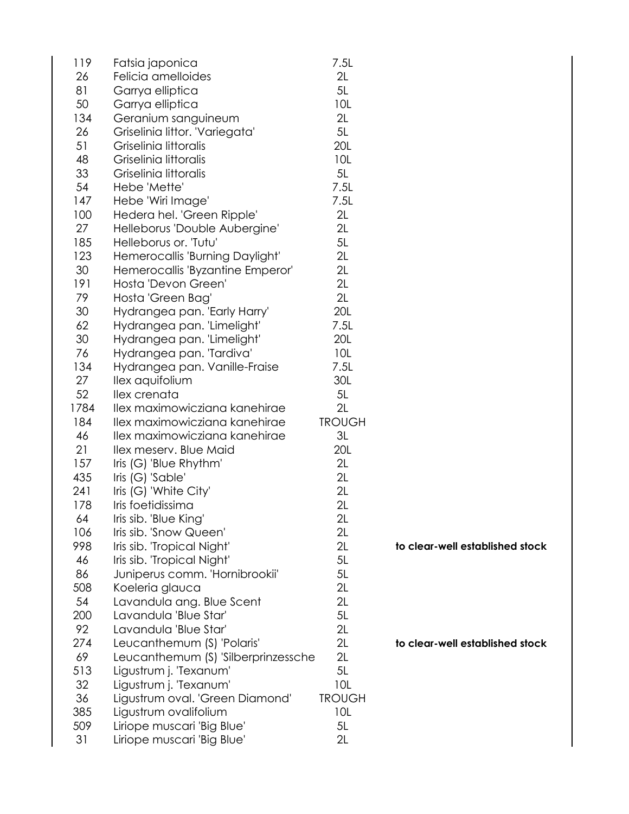| 119  | Fatsia japonica                     | 7.5L          |                                 |
|------|-------------------------------------|---------------|---------------------------------|
| 26   | Felicia amelloides                  | 2L            |                                 |
| 81   | Garrya elliptica                    | 5L            |                                 |
| 50   | Garrya elliptica                    | 10L           |                                 |
| 134  | Geranium sanguineum                 | 2L            |                                 |
| 26   | Griselinia littor. 'Variegata'      | 5L            |                                 |
| 51   | Griselinia littoralis               | <b>20L</b>    |                                 |
| 48   | Griselinia littoralis               | 10L           |                                 |
| 33   | Griselinia littoralis               | 5L            |                                 |
| 54   | Hebe 'Mette'                        | 7.5L          |                                 |
| 147  | Hebe 'Wiri Image'                   | 7.5L          |                                 |
| 100  | Hedera hel. 'Green Ripple'          | 2L            |                                 |
| 27   | Helleborus 'Double Aubergine'       | 2L            |                                 |
| 185  | Helleborus or. 'Tutu'               | 5L            |                                 |
| 123  | Hemerocallis 'Burning Daylight'     | 2L            |                                 |
| 30   | Hemerocallis 'Byzantine Emperor'    | 2L            |                                 |
| 191  | Hosta 'Devon Green'                 | 2L            |                                 |
| 79   | Hosta 'Green Bag'                   | 2L            |                                 |
| 30   | Hydrangea pan. 'Early Harry'        | <b>20L</b>    |                                 |
| 62   | Hydrangea pan. 'Limelight'          | 7.5L          |                                 |
| 30   | Hydrangea pan. 'Limelight'          | <b>20L</b>    |                                 |
| 76   | Hydrangea pan. 'Tardiva'            | 10L           |                                 |
| 134  | Hydrangea pan. Vanille-Fraise       | 7.5L          |                                 |
| 27   | llex aquifolium                     | 30L           |                                 |
| 52   | llex crenata                        | 5L            |                                 |
| 1784 | Ilex maximowicziana kanehirae       | 2L            |                                 |
| 184  | Ilex maximowicziana kanehirae       | <b>TROUGH</b> |                                 |
| 46   | Ilex maximowicziana kanehirae       | 3L            |                                 |
| 21   | Ilex meserv. Blue Maid              | <b>20L</b>    |                                 |
| 157  | Iris (G) 'Blue Rhythm'              | 2L            |                                 |
| 435  | Iris (G) 'Sable'                    | 2L            |                                 |
| 241  | Iris (G) 'White City'               | 2L            |                                 |
| 178  | Iris foetidissima                   | 2L            |                                 |
| 64   | Iris sib. 'Blue King'               | 2L            |                                 |
| 106  | Iris sib. 'Snow Queen'              | 2L            |                                 |
| 998  | Iris sib. 'Tropical Night'          | 2L            | to clear-well established stock |
| 46   | Iris sib. 'Tropical Night'          | 5L            |                                 |
| 86   | Juniperus comm. 'Hornibrookii'      | 5L            |                                 |
| 508  | Koeleria glauca                     | 2L            |                                 |
| 54   | Lavandula ang. Blue Scent           | 2L            |                                 |
| 200  | Lavandula 'Blue Star'               | 5L            |                                 |
| 92   | Lavandula 'Blue Star'               | 2L            |                                 |
| 274  | Leucanthemum (S) 'Polaris'          | 2L            | to clear-well established stock |
| 69   | Leucanthemum (S) 'Silberprinzessche | 2L            |                                 |
| 513  | Ligustrum j. 'Texanum'              | 5L            |                                 |
| 32   | Ligustrum j. 'Texanum'              | 10L           |                                 |
| 36   | Ligustrum oval. 'Green Diamond'     | <b>TROUGH</b> |                                 |
| 385  | Ligustrum ovalifolium               | 10L           |                                 |
| 509  | Liriope muscari 'Big Blue'          | 5L            |                                 |
| 31   | Liriope muscari 'Big Blue'          | 2L            |                                 |
|      |                                     |               |                                 |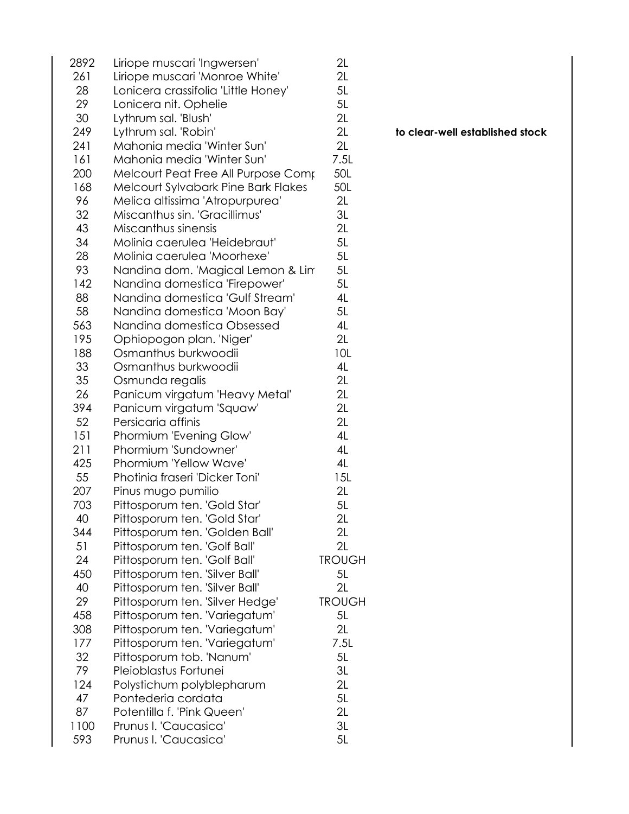| 2892 | Liriope muscari 'Ingwersen'         | 2L            |
|------|-------------------------------------|---------------|
| 261  | Liriope muscari 'Monroe White'      | 2L            |
| 28   | Lonicera crassifolia 'Little Honey' | 5L            |
| 29   | Lonicera nit. Ophelie               | 5L            |
| 30   | Lythrum sal. 'Blush'                | 2L            |
| 249  | Lythrum sal. 'Robin'                | 2L            |
| 241  | Mahonia media 'Winter Sun'          | 2L            |
| 161  | Mahonia media 'Winter Sun'          | 7.5L          |
| 200  | Melcourt Peat Free All Purpose Comp | 50L           |
| 168  | Melcourt Sylvabark Pine Bark Flakes | 50L           |
| 96   | Melica altissima 'Atropurpurea'     | 2L            |
| 32   | Miscanthus sin. 'Gracillimus'       | 3L            |
| 43   | Miscanthus sinensis                 | 2L            |
| 34   | Molinia caerulea 'Heidebraut'       | 5L            |
| 28   | Molinia caerulea 'Moorhexe'         | 5L            |
| 93   | Nandina dom. 'Magical Lemon & Lin   | 5L            |
| 142  | Nandina domestica 'Firepower'       | 5L            |
| 88   | Nandina domestica 'Gulf Stream'     | 4L            |
| 58   | Nandina domestica 'Moon Bay'        | 5L            |
| 563  | Nandina domestica Obsessed          | 4L            |
| 195  | Ophiopogon plan. 'Niger'            | 2L            |
| 188  | Osmanthus burkwoodii                | 10L           |
| 33   | Osmanthus burkwoodii                | 4L            |
| 35   |                                     | 2L            |
|      | Osmunda regalis                     |               |
| 26   | Panicum virgatum 'Heavy Metal'      | 2L            |
| 394  | Panicum virgatum 'Squaw'            | 2L            |
| 52   | Persicaria affinis                  | 2L            |
| 151  | Phormium 'Evening Glow'             | 4L            |
| 211  | Phormium 'Sundowner'                | 4L            |
| 425  | Phormium 'Yellow Wave'              | 4L            |
| 55   | Photinia fraseri 'Dicker Toni'      | 15L           |
| 207  | Pinus mugo pumilio                  | 2L            |
| 703  | Pittosporum ten. 'Gold Star'        | 5L            |
| 40   | Pittosporum ten. 'Gold Star'        | 2L            |
| 344  | Pittosporum ten. 'Golden Ball'      | 2L            |
| 51   | Pittosporum ten. 'Golf Ball'        | 2L            |
| 24   | Pittosporum ten. 'Golf Ball'        | <b>TROUGH</b> |
| 450  | Pittosporum ten. 'Silver Ball'      | 5L            |
| 40   | Pittosporum ten. 'Silver Ball'      | 2L            |
| 29   | Pittosporum ten. 'Silver Hedge'     | <b>TROUGH</b> |
| 458  | Pittosporum ten. 'Variegatum'       | 5L            |
| 308  | Pittosporum ten. 'Variegatum'       | 2L            |
| 177  | Pittosporum ten. 'Variegatum'       | 7.5L          |
| 32   | Pittosporum tob. 'Nanum'            | 5L            |
| 79   | Pleioblastus Fortunei               | 3L            |
| 124  | Polystichum polyblepharum           | 2L            |
| 47   | Pontederia cordata                  | 5L            |
| 87   | Potentilla f. 'Pink Queen'          | 2L            |
| 1100 | Prunus I. 'Caucasica'               | 3L            |
| 593  | Prunus I. 'Caucasica'               | 5L            |

to clear-well established stock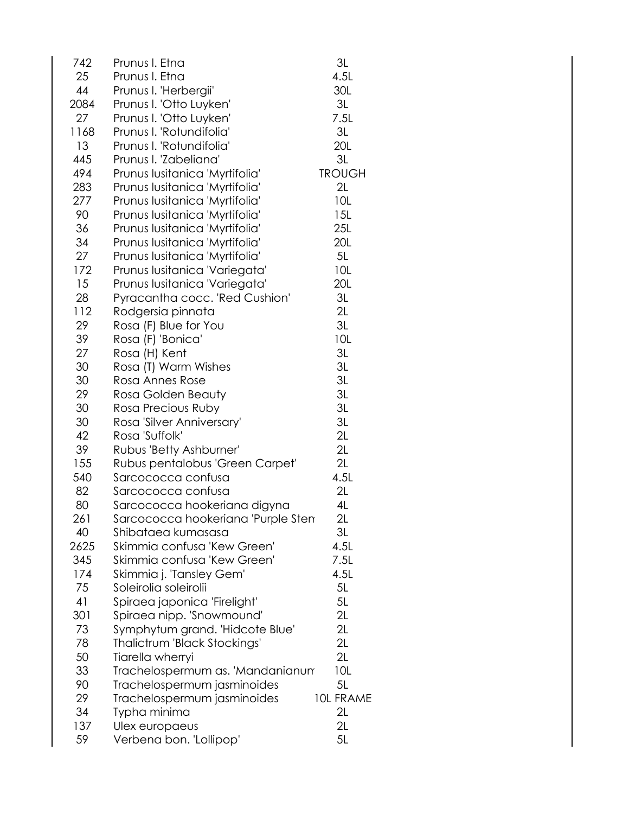| 742  | Prunus I. Etna                                    | 3L               |
|------|---------------------------------------------------|------------------|
| 25   | Prunus I. Etna                                    | 4.5L             |
| 44   | Prunus I. 'Herbergii'                             | 30L              |
| 2084 | Prunus I. 'Otto Luyken'                           | 3L               |
| 27   | Prunus I. 'Otto Luyken'                           | 7.5L             |
| 1168 | Prunus I. 'Rotundifolia'                          | 3L               |
| 13   | Prunus I. 'Rotundifolia'                          | 20L              |
| 445  | Prunus I. 'Zabeliana'                             | 3L               |
| 494  | Prunus Iusitanica 'Myrtifolia'                    | <b>TROUGH</b>    |
| 283  | Prunus Iusitanica 'Myrtifolia'                    | 2L               |
| 277  | Prunus Iusitanica 'Myrtifolia'                    | 10L              |
| 90   | Prunus Iusitanica 'Myrtifolia'                    | 15L              |
| 36   | Prunus Iusitanica 'Myrtifolia'                    | 25L              |
| 34   | Prunus Iusitanica 'Myrtifolia'                    | 20L              |
| 27   | Prunus Iusitanica 'Myrtifolia'                    | 5L               |
| 172  | Prunus Iusitanica 'Variegata'                     | 10L              |
| 15   | Prunus Iusitanica 'Variegata'                     | 20L              |
| 28   | Pyracantha cocc. 'Red Cushion'                    | 3L               |
| 112  | Rodgersia pinnata                                 | 2L               |
| 29   | Rosa (F) Blue for You                             | 3L               |
| 39   | Rosa (F) 'Bonica'                                 | 10L              |
| 27   | Rosa (H) Kent                                     | 3L               |
| 30   | Rosa (T) Warm Wishes                              | 3L               |
| 30   | Rosa Annes Rose                                   | 3L               |
| 29   | Rosa Golden Beauty                                | 3L               |
| 30   | Rosa Precious Ruby                                | 3L               |
| 30   | Rosa 'Silver Anniversary'                         | 3L               |
| 42   | Rosa 'Suffolk'                                    | 2L               |
| 39   | Rubus 'Betty Ashburner'                           | 2L               |
| 155  | Rubus pentalobus 'Green Carpet'                   | 2L               |
| 540  | Sarcococca confusa                                | 4.5L             |
| 82   | Sarcococca confusa                                | 2L               |
| 80   | Sarcococca hookeriana digyna                      | 4L               |
| 261  |                                                   | 2L               |
| 40   | Sarcococca hookeriana 'Purple Sten                |                  |
| 2625 | Shibataea kumasasa<br>Skimmia confusa 'Kew Green' | 3L<br>4.5L       |
| 345  | Skimmia confusa 'Kew Green'                       | 7.5L             |
| 174  |                                                   |                  |
|      | Skimmia j. 'Tansley Gem'                          | 4.5L             |
| 75   | Soleirolia soleirolii                             | 5L               |
| 41   | Spiraea japonica 'Firelight'                      | 5L               |
| 301  | Spiraea nipp. 'Snowmound'                         | 2L               |
| 73   | Symphytum grand. 'Hidcote Blue'                   | 2L               |
| 78   | Thalictrum 'Black Stockings'                      | 2L               |
| 50   | Tiarella wherryi                                  | 2L               |
| 33   | Trachelospermum as. 'Mandanianum                  | 10L              |
| 90   | Trachelospermum jasminoides                       | 5L               |
| 29   | Trachelospermum jasminoides                       | <b>10L FRAME</b> |
| 34   | Typha minima                                      | 2L               |
| 137  | Ulex europaeus                                    | 2L               |
| 59   | Verbena bon. 'Lollipop'                           | 5L               |